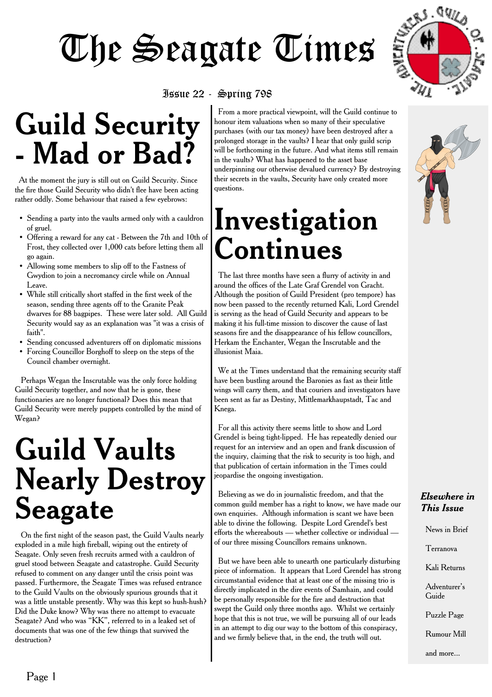

#### Issue 22 - Spring 798

## **Guild Security - Mad or Bad?**

At the moment the jury is still out on Guild Security. Since the fire those Guild Security who didn't flee have been acting rather oddly. Some behaviour that raised a few eyebrows:

- Sending a party into the vaults armed only with a cauldron of gruel.
- Offering a reward for any cat Between the 7th and 10th of Frost, they collected over 1,000 cats before letting them all go again.
- Allowing some members to slip off to the Fastness of Gwydion to join a necromancy circle while on Annual Leave.
- While still critically short staffed in the first week of the season, sending three agents off to the Granite Peak dwarves for 88 bagpipes. These were later sold. All Guild Security would say as an explanation was "it was a crisis of faith".
- Sending concussed adventurers off on diplomatic missions
- Forcing Councillor Borghoff to sleep on the steps of the Council chamber overnight.

Perhaps Wegan the Inscrutable was the only force holding Guild Security together, and now that he is gone, these functionaries are no longer functional? Does this mean that Guild Security were merely puppets controlled by the mind of Wegan?

## **Guild Vaults Nearly Destroy Seagate**

On the first night of the season past, the Guild Vaults nearly exploded in a mile high fireball, wiping out the entirety of Seagate. Only seven fresh recruits armed with a cauldron of gruel stood between Seagate and catastrophe. Guild Security refused to comment on any danger until the crisis point was passed. Furthermore, the Seagate Times was refused entrance to the Guild Vaults on the obviously spurious grounds that it was a little unstable presently. Why was this kept so hush-hush? Did the Duke know? Why was there no attempt to evacuate Seagate? And who was "KK", referred to in a leaked set of documents that was one of the few things that survived the destruction?

From a more practical viewpoint, will the Guild continue to honour item valuations when so many of their speculative purchases (with our tax money) have been destroyed after a prolonged storage in the vaults? I hear that only guild scrip will be forthcoming in the future. And what items still remain in the vaults? What has happened to the asset base underpinning our otherwise devalued currency? By destroying their secrets in the vaults, Security have only created more questions.

## **Investigation Continues**

The last three months have seen a flurry of activity in and around the offices of the Late Graf Grendel von Gracht. Although the position of Guild President (pro tempore) has now been passed to the recently returned Kali, Lord Grendel is serving as the head of Guild Security and appears to be making it his full-time mission to discover the cause of last seasons fire and the disappearance of his fellow councillors, Herkam the Enchanter, Wegan the Inscrutable and the illusionist Maia.

We at the Times understand that the remaining security staff have been bustling around the Baronies as fast as their little wings will carry them, and that couriers and investigators have been sent as far as Destiny, Mittlemarkhaupstadt, Tac and Knega.

For all this activity there seems little to show and Lord Grendel is being tight-lipped. He has repeatedly denied our request for an interview and an open and frank discussion of the inquiry, claiming that the risk to security is too high, and that publication of certain information in the Times could jeopardise the ongoing investigation.

Believing as we do in journalistic freedom, and that the common guild member has a right to know, we have made our own enquiries. Although information is scant we have been able to divine the following. Despite Lord Grendel's best efforts the whereabouts — whether collective or individual of our three missing Councillors remains unknown.

But we have been able to unearth one particularly disturbing piece of information. It appears that Lord Grendel has strong circumstantial evidence that at least one of the missing trio is directly implicated in the dire events of Samhain, and could be personally responsible for the fire and destruction that swept the Guild only three months ago. Whilst we certainly hope that this is not true, we will be pursuing all of our leads in an attempt to dig our way to the bottom of this conspiracy, and we firmly believe that, in the end, the truth will out.



#### *Elsewhere in This Issue*

News in Brief Terranova Kali Returns Adventurer's Guide Puzzle Page

Rumour Mill

and more...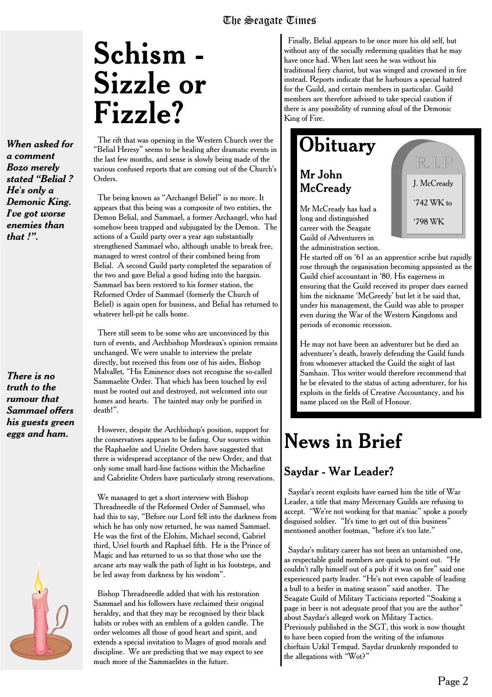## **Schism - Sizzle or Fizzle?**

*When asked for a comment Bozo merely stated "Belial ? He's only a Demonic King. I've got worse enemies than that !".*

*There is no truth to the rumour that Sammael offers his guests green eggs and ham.*



The rift that was opening in the Western Church over the "Belial Heresy" seems to be healing after dramatic events in the last few months, and sense is slowly being made of the various confused reports that are coming out of the Church's Orders.

The being known as "Archangel Beliel" is no more. It appears that this being was a composite of two entities, the Demon Belial, and Sammael, a former Archangel, who had somehow been trapped and subjugated by the Demon. The actions of a Guild party over a year ago substantially strengthened Sammael who, although unable to break free, managed to wrest control of their combined being from Belial. A second Guild party completed the separation of the two and gave Belial a good hiding into the bargain. Sammael has been restored to his former station, the Reformed Order of Sammael (formerly the Church of Beliel) is again open for business, and Belial has returned to whatever hell-pit he calls home.

There still seem to be some who are unconvinced by this turn of events, and Archbishop Mordeaux's opinion remains unchanged. We were unable to interview the prelate directly, but received this from one of his aides, Bishop Malvallet, "His Eminence does not recognise the so-called Sammaelite Order. That which has been touched by evil must be rooted out and destroyed, not welcomed into our homes and hearts. The tainted may only be purified in death!".

However, despite the Archbishop's position, support for the conservatives appears to be fading. Our sources within the Raphaelite and Urielite Orders have suggested that there is widespread acceptance of the new Order, and that only some small hard-line factions within the Michaeline and Gabrielite Orders have particularly strong reservations.

We managed to get a short interview with Bishop Threadneedle of the Reformed Order of Sammael, who had this to say, "Before our Lord fell into the darkness from which he has only now returned, he was named Sammael. He was the first of the Elohim, Michael second, Gabriel third, Uriel fourth and Raphael fifth. He is the Prince of Magic and has returned to us so that those who use the arcane arts may walk the path of light in his footsteps, and be led away from darkness by his wisdom".

Bishop Threadneedle added that with his restoration Sammael and his followers have reclaimed their original heraldry, and that they may be recognised by their black habits or robes with an emblem of a golden candle. The order welcomes all those of good heart and spirit, and extends a special invitation to Mages of good morals and discipline. We are predicting that we may expect to see much more of the Sammaelites in the future.

Finally, Belial appears to be once more his old self, but without any of the socially redeeming qualities that he may have once had. When last seen he was without his traditional fiery chariot, but was winged and crowned in fire instead. Reports indicate that he harbours a special hatred for the Guild, and certain members in particular. Guild members are therefore advised to take special caution if there is any possibility of running afoul of the Demonic King of Fire.

### **Obituary**

#### Mr John **McCready**

Mr McCready has had a long and distinguished career with the Seagate Guild of Adventurers in the administration section.



He started off on '61 as an apprentice scribe but rapidly rose through the organisation becoming appointed as the Guild chief accountant in '80. His eagerness in ensuring that the Guild received its proper dues earned him the nickname 'McGreedy' but let it be said that, under his management, the Guild was able to prosper even during the War of the Western Kingdoms and periods of economic recession.

He may not have been an adventurer but he died an adventurer's death, bravely defending the Guild funds from whomever attacked the Guild the night of last Samhain. This writer would therefore recommend that he be elevated to the status of acting adventurer, for his exploits in the fields of Creative Accountancy, and his name placed on the Roll of Honour.

### **News in Brief**

#### Saydar - War Leader?

Saydar's recent exploits have earned him the title of War Leader, a title that many Mercenary Guilds are refusing to accept. "We're not working for that maniac" spoke a poorly disguised soldier. "It's time to get out of this business" mentioned another footman, "before it's too late."

Saydar's military career has not been an untarnished one, as respectable guild members are quick to point out. "He couldn't rally himself out of a pub if it was on fire" said one experienced party leader. "He's not even capable of leading a bull to a heifer in mating season" said another. The Seagate Guild of Military Tacticians reported "Soaking a page in beer is not adequate proof that you are the author" about Saydar's alleged work on Military Tactics. Previously published in the SGT, this work is now thought to have been copied from the writing of the infamous chieftain Uzkil Temgud. Saydar drunkenly responded to the allegations with "Wot?"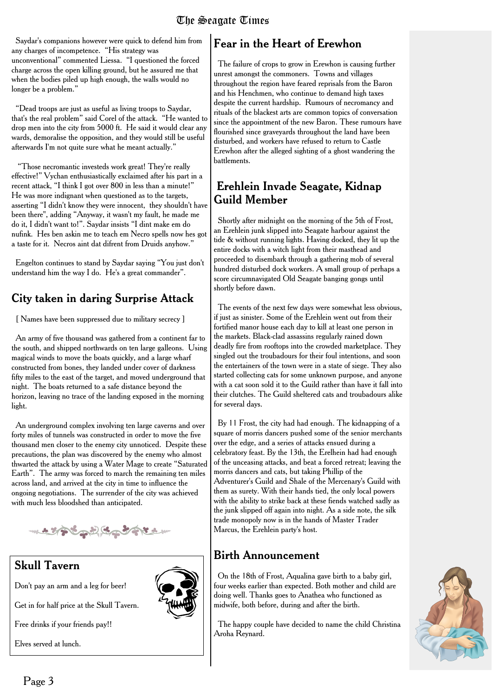Saydar's companions however were quick to defend him from any charges of incompetence. "His strategy was unconventional" commented Liessa. "I questioned the forced charge across the open killing ground, but he assured me that when the bodies piled up high enough, the walls would no longer be a problem."

"Dead troops are just as useful as living troops to Saydar, that's the real problem" said Corel of the attack. "He wanted to drop men into the city from 5000 ft. He said it would clear any wards, demoralise the opposition, and they would still be useful afterwards I'm not quite sure what he meant actually."

"Those necromantic investeds work great! They're really effective!" Vychan enthusiastically exclaimed after his part in a recent attack, "I think I got over 800 in less than a minute!" He was more indignant when questioned as to the targets, asserting "I didn't know they were innocent, they shouldn't have been there", adding "Anyway, it wasn't my fault, he made me do it, I didn't want to!". Saydar insists "I dint make em do nufink. Hes ben askin me to teach em Necro spells now hes got a taste for it. Necros aint dat difrent from Druids anyhow."

Engelton continues to stand by Saydar saying "You just don't understand him the way I do. He's a great commander".

#### City taken in daring Surprise Attack

[ Names have been suppressed due to military secrecy ]

An army of five thousand was gathered from a continent far to the south, and shipped northwards on ten large galleons. Using magical winds to move the boats quickly, and a large wharf constructed from bones, they landed under cover of darkness fifty miles to the east of the target, and moved underground that night. The boats returned to a safe distance beyond the horizon, leaving no trace of the landing exposed in the morning light.

An underground complex involving ten large caverns and over forty miles of tunnels was constructed in order to move the five thousand men closer to the enemy city unnoticed. Despite these precautions, the plan was discovered by the enemy who almost thwarted the attack by using a Water Mage to create "Saturated Earth". The army was forced to march the remaining ten miles across land, and arrived at the city in time to influence the ongoing negotiations. The surrender of the city was achieved with much less bloodshed than anticipated.

いとそうきょうになっていたい

#### Skull Tavern

Don't pay an arm and a leg for beer!

Get in for half price at the Skull Tavern.

Free drinks if your friends pay!!

Elves served at lunch.



#### Fear in the Heart of Erewhon

The failure of crops to grow in Erewhon is causing further unrest amongst the commoners. Towns and villages throughout the region have feared reprisals from the Baron and his Henchmen, who continue to demand high taxes despite the current hardship. Rumours of necromancy and rituals of the blackest arts are common topics of conversation since the appointment of the new Baron. These rumours have flourished since graveyards throughout the land have been disturbed, and workers have refused to return to Castle Erewhon after the alleged sighting of a ghost wandering the battlements.

#### Erehlein Invade Seagate, Kidnap Guild Member

Shortly after midnight on the morning of the 5th of Frost, an Erehlein junk slipped into Seagate harbour against the tide & without running lights. Having docked, they lit up the entire docks with a witch light from their masthead and proceeded to disembark through a gathering mob of several hundred disturbed dock workers. A small group of perhaps a score circumnavigated Old Seagate banging gongs until shortly before dawn.

The events of the next few days were somewhat less obvious, if just as sinister. Some of the Erehlein went out from their fortified manor house each day to kill at least one person in the markets. Black-clad assassins regularly rained down deadly fire from rooftops into the crowded marketplace. They singled out the troubadours for their foul intentions, and soon the entertainers of the town were in a state of siege. They also started collecting cats for some unknown purpose, and anyone with a cat soon sold it to the Guild rather than have it fall into their clutches. The Guild sheltered cats and troubadours alike for several days.

By 11 Frost, the city had had enough. The kidnapping of a square of morris dancers pushed some of the senior merchants over the edge, and a series of attacks ensued during a celebratory feast. By the 13th, the Erelhein had had enough of the unceasing attacks, and beat a forced retreat; leaving the morris dancers and cats, but taking Phillip of the Adventurer's Guild and Shale of the Mercenary's Guild with them as surety. With their hands tied, the only local powers with the ability to strike back at these fiends watched sadly as the junk slipped off again into night. As a side note, the silk trade monopoly now is in the hands of Master Trader Marcus, the Erehlein party's host.

#### Birth Announcement

On the 18th of Frost, Aqualina gave birth to a baby girl, four weeks earlier than expected. Both mother and child are doing well. Thanks goes to Anathea who functioned as midwife, both before, during and after the birth.

The happy couple have decided to name the child Christina Aroha Reynard.

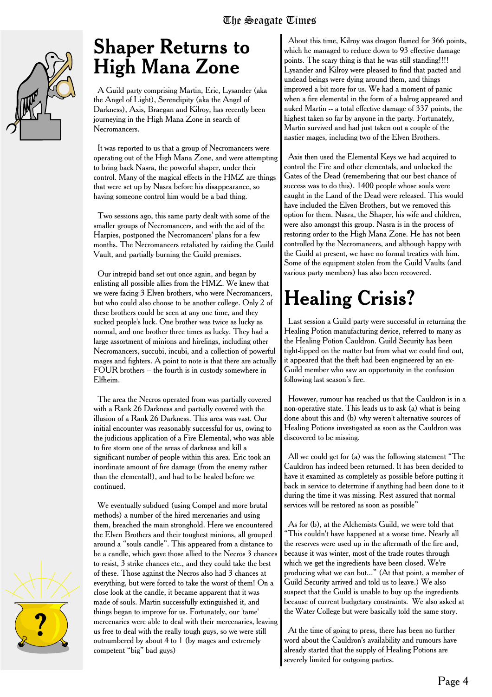

### **Shaper Returns to High Mana Zone**

A Guild party comprising Martin, Eric, Lysander (aka the Angel of Light), Serendipity (aka the Angel of Darkness), Axis, Braegan and Kilroy, has recently been journeying in the High Mana Zone in search of **Necromancers** 

It was reported to us that a group of Necromancers were operating out of the High Mana Zone, and were attempting to bring back Nasra, the powerful shaper, under their control. Many of the magical effects in the HMZ are things that were set up by Nasra before his disappearance, so having someone control him would be a bad thing.

Two sessions ago, this same party dealt with some of the smaller groups of Necromancers, and with the aid of the Harpies, postponed the Necromancers' plans for a few months. The Necromancers retaliated by raiding the Guild Vault, and partially burning the Guild premises.

Our intrepid band set out once again, and began by enlisting all possible allies from the HMZ. We knew that we were facing 3 Elven brothers, who were Necromancers, but who could also choose to be another college. Only 2 of these brothers could be seen at any one time, and they sucked people's luck. One brother was twice as lucky as normal, and one brother three times as lucky. They had a large assortment of minions and hirelings, including other Necromancers, succubi, incubi, and a collection of powerful mages and fighters. A point to note is that there are actually FOUR brothers -- the fourth is in custody somewhere in Elfheim.

The area the Necros operated from was partially covered with a Rank 26 Darkness and partially covered with the illusion of a Rank 26 Darkness. This area was vast. Our initial encounter was reasonably successful for us, owing to the judicious application of a Fire Elemental, who was able to fire storm one of the areas of darkness and kill a significant number of people within this area. Eric took an inordinate amount of fire damage (from the enemy rather than the elemental!), and had to be healed before we continued.

We eventually subdued (using Compel and more brutal methods) a number of the hired mercenaries and using them, breached the main stronghold. Here we encountered the Elven Brothers and their toughest minions, all grouped around a "souls candle". This appeared from a distance to be a candle, which gave those allied to the Necros 3 chances to resist, 3 strike chances etc., and they could take the best of these. Those against the Necros also had 3 chances at everything, but were forced to take the worst of them! On a close look at the candle, it became apparent that it was made of souls. Martin successfully extinguished it, and things began to improve for us. Fortunately, our 'tame' mercenaries were able to deal with their mercenaries, leaving us free to deal with the really tough guys, so we were still outnumbered by about 4 to 1 (by mages and extremely competent "big" bad guys)

About this time, Kilroy was dragon flamed for 366 points, which he managed to reduce down to 93 effective damage points. The scary thing is that he was still standing!!!! Lysander and Kilroy were pleased to find that pacted and undead beings were dying around them, and things improved a bit more for us. We had a moment of panic when a fire elemental in the form of a balrog appeared and nuked Martin -- a total effective damage of 337 points, the highest taken so far by anyone in the party. Fortunately, Martin survived and had just taken out a couple of the nastier mages, including two of the Elven Brothers.

Axis then used the Elemental Keys we had acquired to control the Fire and other elementals, and unlocked the Gates of the Dead (remembering that our best chance of success was to do this). 1400 people whose souls were caught in the Land of the Dead were released. This would have included the Elven Brothers, but we removed this option for them. Nasra, the Shaper, his wife and children, were also amongst this group. Nasra is in the process of restoring order to the High Mana Zone. He has not been controlled by the Necromancers, and although happy with the Guild at present, we have no formal treaties with him. Some of the equipment stolen from the Guild Vaults (and various party members) has also been recovered.

## **Healing Crisis?**

Last session a Guild party were successful in returning the Healing Potion manufacturing device, referred to many as the Healing Potion Cauldron. Guild Security has been tight-lipped on the matter but from what we could find out, it appeared that the theft had been engineered by an ex-Guild member who saw an opportunity in the confusion following last season's fire.

However, rumour has reached us that the Cauldron is in a non-operative state. This leads us to ask (a) what is being done about this and (b) why weren't alternative sources of Healing Potions investigated as soon as the Cauldron was discovered to be missing.

All we could get for (a) was the following statement "The Cauldron has indeed been returned. It has been decided to have it examined as completely as possible before putting it back in service to determine if anything had been done to it during the time it was missing. Rest assured that normal services will be restored as soon as possible"

As for (b), at the Alchemists Guild, we were told that "This couldn't have happened at a worse time. Nearly all the reserves were used up in the aftermath of the fire and, because it was winter, most of the trade routes through which we get the ingredients have been closed. We're producing what we can but..." (At that point, a member of Guild Security arrived and told us to leave.) We also suspect that the Guild is unable to buy up the ingredients because of current budgetary constraints. We also asked at the Water College but were basically told the same story.

At the time of going to press, there has been no further word about the Cauldron's availability and rumours have already started that the supply of Healing Potions are severely limited for outgoing parties.

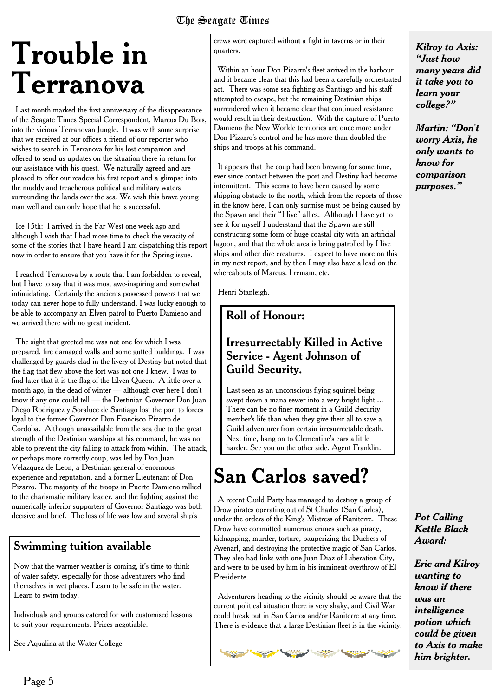## **Trouble in Terranova**

Last month marked the first anniversary of the disappearance of the Seagate Times Special Correspondent, Marcus Du Bois, into the vicious Terranovan Jungle. It was with some surprise that we received at our offices a friend of our reporter who wishes to search in Terranova for his lost companion and offered to send us updates on the situation there in return for our assistance with his quest. We naturally agreed and are pleased to offer our readers his first report and a glimpse into the muddy and treacherous political and military waters surrounding the lands over the sea. We wish this brave young man well and can only hope that he is successful.

Ice 15th: I arrived in the Far West one week ago and although I wish that I had more time to check the veracity of some of the stories that I have heard I am dispatching this report now in order to ensure that you have it for the Spring issue.

I reached Terranova by a route that I am forbidden to reveal, but I have to say that it was most awe-inspiring and somewhat intimidating. Certainly the ancients possessed powers that we today can never hope to fully understand. I was lucky enough to be able to accompany an Elven patrol to Puerto Damieno and we arrived there with no great incident.

The sight that greeted me was not one for which I was prepared, fire damaged walls and some gutted buildings. I was challenged by guards clad in the livery of Destiny but noted that the flag that flew above the fort was not one I knew. I was to find later that it is the flag of the Elven Queen. A little over a month ago, in the dead of winter — although over here I don't know if any one could tell — the Destinian Governor Don Juan Diego Rodriguez y Soraluce de Santiago lost the port to forces loyal to the former Governor Don Francisco Pizarro de Cordoba. Although unassailable from the sea due to the great strength of the Destinian warships at his command, he was not able to prevent the city falling to attack from within. The attack, or perhaps more correctly coup, was led by Don Juan Velazquez de Leon, a Destinian general of enormous experience and reputation, and a former Lieutenant of Don Pizarro. The majority of the troops in Puerto Damieno rallied to the charismatic military leader, and the fighting against the numerically inferior supporters of Governor Santiago was both decisive and brief. The loss of life was low and several ship's

#### Swimming tuition available

Now that the warmer weather is coming, it's time to think of water safety, especially for those adventurers who find themselves in wet places. Learn to be safe in the water. Learn to swim today.

Individuals and groups catered for with customised lessons to suit your requirements. Prices negotiable.

See Aqualina at the Water College

crews were captured without a fight in taverns or in their quarters.

Within an hour Don Pizarro's fleet arrived in the harbour and it became clear that this had been a carefully orchestrated act. There was some sea fighting as Santiago and his staff attempted to escape, but the remaining Destinian ships surrendered when it became clear that continued resistance would result in their destruction. With the capture of Puerto Damieno the New Worlde territories are once more under Don Pizarro's control and he has more than doubled the ships and troops at his command.

It appears that the coup had been brewing for some time, ever since contact between the port and Destiny had become intermittent. This seems to have been caused by some shipping obstacle to the north, which from the reports of those in the know here, I can only surmise must be being caused by the Spawn and their "Hive" allies. Although I have yet to see it for myself I understand that the Spawn are still constructing some form of huge coastal city with an artificial lagoon, and that the whole area is being patrolled by Hive ships and other dire creatures. I expect to have more on this in my next report, and by then I may also have a lead on the whereabouts of Marcus. I remain, etc.

Henri Stanleigh.

#### Roll of Honour:

#### Irresurrectably Killed in Active Service - Agent Johnson of Guild Security.

Last seen as an unconscious flying squirrel being swept down a mana sewer into a very bright light ... There can be no finer moment in a Guild Security member's life than when they give their all to save a Guild adventurer from certain irresurrectable death. Next time, hang on to Clementine's ears a little harder. See you on the other side. Agent Franklin.

## **San Carlos saved?**

A recent Guild Party has managed to destroy a group of Drow pirates operating out of St Charles (San Carlos), under the orders of the King's Mistress of Raniterre. These Drow have committed numerous crimes such as piracy, kidnapping, murder, torture, pauperizing the Duchess of Avenarl, and destroying the protective magic of San Carlos. They also had links with one Juan Diaz of Liberation City, and were to be used by him in his imminent overthrow of El Presidente.

Adventurers heading to the vicinity should be aware that the current political situation there is very shaky, and Civil War could break out in San Carlos and/or Raniterre at any time. There is evidence that a large Destinian fleet is in the vicinity.



*Kilroy to Axis: "Just how many years did it take you to learn your college?"*

*Martin: "Don't worry Axis, he only wants to know for comparison purposes."*

#### *Pot Calling Kettle Black Award:*

*Eric and Kilroy wanting to know if there was an intelligence potion which could be given to Axis to make him brighter.*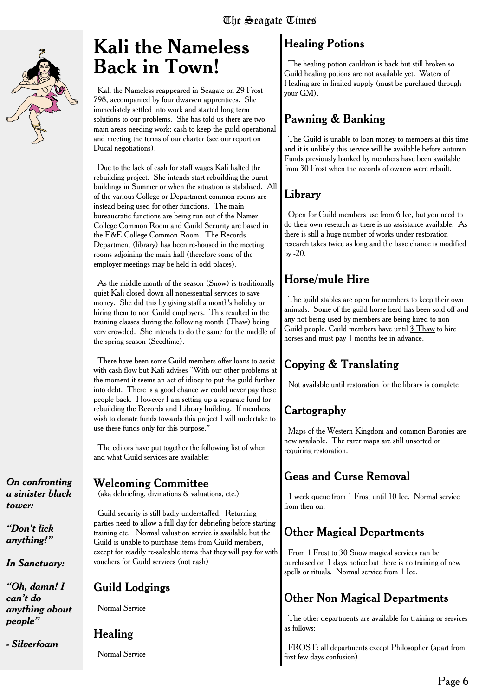

### **Kali the Nameless Back in Town!**

Kali the Nameless reappeared in Seagate on 29 Frost 798, accompanied by four dwarven apprentices. She immediately settled into work and started long term solutions to our problems. She has told us there are two main areas needing work; cash to keep the guild operational and meeting the terms of our charter (see our report on Ducal negotiations).

Due to the lack of cash for staff wages Kali halted the rebuilding project. She intends start rebuilding the burnt buildings in Summer or when the situation is stabilised. All of the various College or Department common rooms are instead being used for other functions. The main bureaucratic functions are being run out of the Namer College Common Room and Guild Security are based in the E&E College Common Room. The Records Department (library) has been re-housed in the meeting rooms adjoining the main hall (therefore some of the employer meetings may be held in odd places).

As the middle month of the season (Snow) is traditionally quiet Kali closed down all nonessential services to save money. She did this by giving staff a month's holiday or hiring them to non Guild employers. This resulted in the training classes during the following month (Thaw) being very crowded. She intends to do the same for the middle of the spring season (Seedtime).

There have been some Guild members offer loans to assist with cash flow but Kali advises "With our other problems at the moment it seems an act of idiocy to put the guild further into debt. There is a good chance we could never pay these people back. However I am setting up a separate fund for rebuilding the Records and Library building. If members wish to donate funds towards this project I will undertake to use these funds only for this purpose."

The editors have put together the following list of when and what Guild services are available:

*On confronting a sinister black tower:*

*"Don't lick anything!"*

*In Sanctuary:*

*"Oh, damn! I can't do anything about people"*

*- Silverfoam*

#### Welcoming Committee

(aka debriefing, divinations & valuations, etc.)

Guild security is still badly understaffed. Returning parties need to allow a full day for debriefing before starting training etc. Normal valuation service is available but the Guild is unable to purchase items from Guild members, except for readily re-saleable items that they will pay for with vouchers for Guild services (not cash)

#### **Guild Lodgings**

Normal Service

#### **Healing**

Normal Service

#### **Healing Potions**

The healing potion cauldron is back but still broken so Guild healing potions are not available yet. Waters of Healing are in limited supply (must be purchased through your GM).

#### **Pawning & Banking**

The Guild is unable to loan money to members at this time and it is unlikely this service will be available before autumn. Funds previously banked by members have been available from 30 Frost when the records of owners were rebuilt.

#### **Library**

Open for Guild members use from 6 Ice, but you need to do their own research as there is no assistance available. As there is still a huge number of works under restoration research takes twice as long and the base chance is modified by -20.

#### **Horse/mule Hire**

The guild stables are open for members to keep their own animals. Some of the guild horse herd has been sold off and any not being used by members are being hired to non Guild people. Guild members have until 3 Thaw to hire horses and must pay 1 months fee in advance.

#### **Copying & Translating**

Not available until restoration for the library is complete

#### **Cartography**

Maps of the Western Kingdom and common Baronies are now available. The rarer maps are still unsorted or requiring restoration.

#### **Geas and Curse Removal**

1 week queue from 1 Frost until 10 Ice. Normal service from then on.

#### **Other Magical Departments**

From 1 Frost to 30 Snow magical services can be purchased on 1 days notice but there is no training of new spells or rituals. Normal service from 1 Ice.

#### **Other Non Magical Departments**

The other departments are available for training or services as follows:

FROST: all departments except Philosopher (apart from first few days confusion)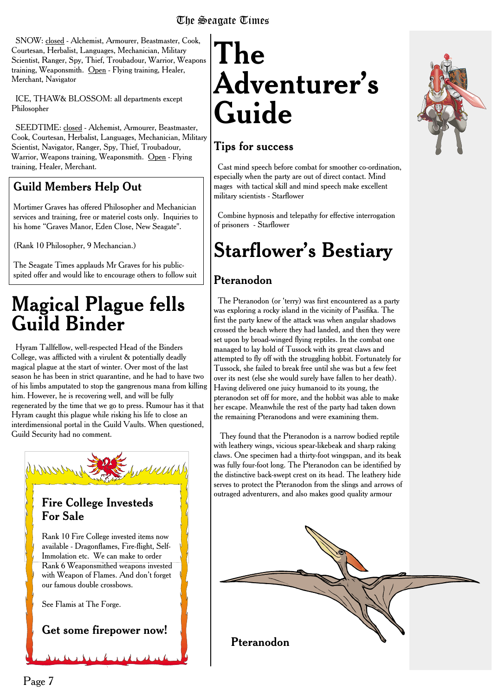SNOW: closed - Alchemist, Armourer, Beastmaster, Cook, Courtesan, Herbalist, Languages, Mechanician, Military Scientist, Ranger, Spy, Thief, Troubadour, Warrior, Weapons training, Weaponsmith. Open - Flying training, Healer, Merchant, Navigator

ICE, THAW& BLOSSOM: all departments except Philosopher

SEEDTIME: closed - Alchemist, Armourer, Beastmaster, Cook, Courtesan, Herbalist, Languages, Mechanician, Military Scientist, Navigator, Ranger, Spy, Thief, Troubadour, Warrior, Weapons training, Weaponsmith. Open - Flying training, Healer, Merchant.

#### Guild Members Help Out

Mortimer Graves has offered Philosopher and Mechanician services and training, free or materiel costs only. Inquiries to his home "Graves Manor, Eden Close, New Seagate".

(Rank 10 Philosopher, 9 Mechancian.)

The Seagate Times applauds Mr Graves for his publicspited offer and would like to encourage others to follow suit

### **Magical Plague fells Guild Binder**

Hyram Tallfellow, well-respected Head of the Binders College, was afflicted with a virulent & potentially deadly magical plague at the start of winter. Over most of the last season he has been in strict quarantine, and he had to have two of his limbs amputated to stop the gangrenous mana from killing him. However, he is recovering well, and will be fully regenerated by the time that we go to press. Rumour has it that Hyram caught this plague while risking his life to close an interdimensional portal in the Guild Vaults. When questioned, Guild Security had no comment.



#### Fire College Investeds For Sale

Rank 10 Fire College invested items now available - Dragonflames, Fire-flight, Self-Immolation etc. We can make to order Rank 6 Weaponsmithed weapons invested with Weapon of Flames. And don't forget our famous double crossbows.

See Flamis at The Forge.

Get some firepower now!

## **The Adventurer's Guide**

#### Tips for success

Cast mind speech before combat for smoother co-ordination, especially when the party are out of direct contact. Mind mages with tactical skill and mind speech make excellent military scientists - Starflower

Combine hypnosis and telepathy for effective interrogation of prisoners - Starflower

## **Starflower's Bestiary**

#### Pteranodon

The Pteranodon (or 'terry) was first encountered as a party was exploring a rocky island in the vicinity of Pasifika. The first the party knew of the attack was when angular shadows crossed the beach where they had landed, and then they were set upon by broad-winged flying reptiles. In the combat one managed to lay hold of Tussock with its great claws and attempted to fly off with the struggling hobbit. Fortunately for Tussock, she failed to break free until she was but a few feet over its nest (else she would surely have fallen to her death). Having delivered one juicy humanoid to its young, the pteranodon set off for more, and the hobbit was able to make her escape. Meanwhile the rest of the party had taken down the remaining Pteranodons and were examining them.

They found that the Pteranodon is a narrow bodied reptile with leathery wings, vicious spear-likebeak and sharp raking claws. One specimen had a thirty-foot wingspan, and its beak was fully four-foot long. The Pteranodon can be identified by the distinctive back-swept crest on its head. The leathery hide serves to protect the Pteranodon from the slings and arrows of outraged adventurers, and also makes good quality armour



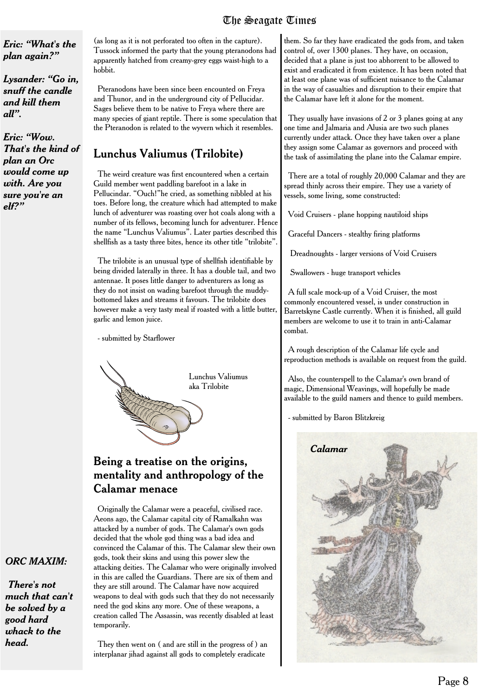*Eric: "What's the plan again?"*

*Lysander: "Go in, snuff the candle and kill them all".*

*Eric: "Wow. That's the kind of plan an Orc would come up with. Are you sure you're an elf?"*

(as long as it is not perforated too often in the capture). Tussock informed the party that the young pteranodons had apparently hatched from creamy-grey eggs waist-high to a hobbit.

Pteranodons have been since been encounted on Freya and Thunor, and in the underground city of Pellucidar. Sages believe them to be native to Freya where there are many species of giant reptile. There is some speculation that the Pteranodon is related to the wyvern which it resembles.

#### Lunchus Valiumus (Trilobite)

The weird creature was first encountered when a certain Guild member went paddling barefoot in a lake in Pellucindar. "Ouch!"he cried, as something nibbled at his toes. Before long, the creature which had attempted to make lunch of adventurer was roasting over hot coals along with a number of its fellows, becoming lunch for adventurer. Hence the name "Lunchus Valiumus". Later parties described this shellfish as a tasty three bites, hence its other title "trilobite".

The trilobite is an unusual type of shellfish identifiable by being divided laterally in three. It has a double tail, and two antennae. It poses little danger to adventurers as long as they do not insist on wading barefoot through the muddybottomed lakes and streams it favours. The trilobite does however make a very tasty meal if roasted with a little butter, garlic and lemon juice.

- submitted by Starflower



#### Being a treatise on the origins, mentality and anthropology of the Calamar menace

Originally the Calamar were a peaceful, civilised race. Aeons ago, the Calamar capital city of Ramalkahn was attacked by a number of gods. The Calamar's own gods decided that the whole god thing was a bad idea and convinced the Calamar of this. The Calamar slew their own gods, took their skins and using this power slew the attacking deities. The Calamar who were originally involved in this are called the Guardians. There are six of them and they are still around. The Calamar have now acquired weapons to deal with gods such that they do not necessarily need the god skins any more. One of these weapons, a creation called The Assassin, was recently disabled at least temporarily.

They then went on ( and are still in the progress of ) an interplanar jihad against all gods to completely eradicate

them. So far they have eradicated the gods from, and taken control of, over 1300 planes. They have, on occasion, decided that a plane is just too abhorrent to be allowed to exist and eradicated it from existence. It has been noted that at least one plane was of sufficient nuisance to the Calamar in the way of casualties and disruption to their empire that the Calamar have left it alone for the moment.

They usually have invasions of 2 or 3 planes going at any one time and Jalmaria and Alusia are two such planes currently under attack. Once they have taken over a plane they assign some Calamar as governors and proceed with the task of assimilating the plane into the Calamar empire.

There are a total of roughly 20,000 Calamar and they are spread thinly across their empire. They use a variety of vessels, some living, some constructed:

Void Cruisers - plane hopping nautiloid ships

Graceful Dancers - stealthy firing platforms

Dreadnoughts - larger versions of Void Cruisers

Swallowers - huge transport vehicles

A full scale mock-up of a Void Cruiser, the most commonly encountered vessel, is under construction in Barretskyne Castle currently. When it is finished, all guild members are welcome to use it to train in anti-Calamar combat.

A rough description of the Calamar life cycle and reproduction methods is available on request from the guild.

Also, the counterspell to the Calamar's own brand of magic, Dimensional Weavings, will hopefully be made available to the guild namers and thence to guild members.

- submitted by Baron Blitzkreig



#### *ORC MAXIM:*

*There's not much that can't be solved by a good hard whack to the head.*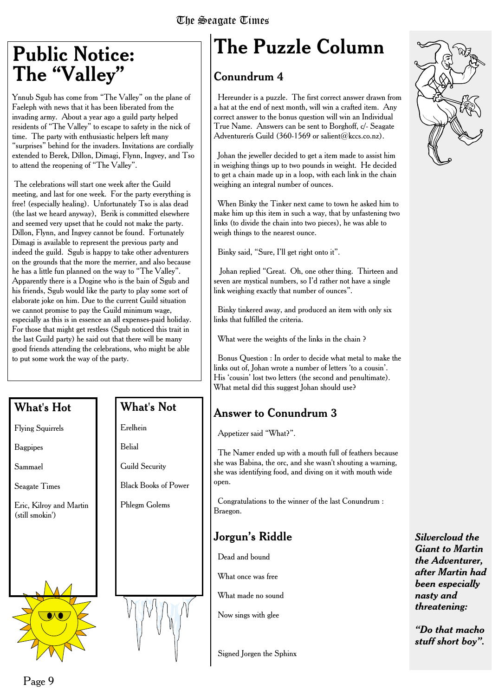### **Public Notice: The "Valley"**

Ynnub Sgub has come from "The Valley" on the plane of Faeleph with news that it has been liberated from the invading army. About a year ago a guild party helped residents of "The Valley" to escape to safety in the nick of time. The party with enthusiastic helpers left many "surprises" behind for the invaders. Invitations are cordially extended to Berek, Dillon, Dimagi, Flynn, Ingvey, and Tso to attend the reopening of "The Valley".

The celebrations will start one week after the Guild meeting, and last for one week. For the party everything is free! (especially healing). Unfortunately Tso is alas dead (the last we heard anyway), Berik is committed elsewhere and seemed very upset that he could not make the party. Dillon, Flynn, and Ingvey cannot be found. Fortunately Dimagi is available to represent the previous party and indeed the guild. Sgub is happy to take other adventurers on the grounds that the more the merrier, and also because he has a little fun planned on the way to "The Valley". Apparently there is a Dogine who is the bain of Sgub and his friends, Sgub would like the party to play some sort of elaborate joke on him. Due to the current Guild situation we cannot promise to pay the Guild minimum wage, especially as this is in essence an all expenses-paid holiday. For those that might get restless (Sgub noticed this trait in the last Guild party) he said out that there will be many good friends attending the celebrations, who might be able to put some work the way of the party.

#### What's Hot

Flying Squirrels

Bagpipes

Sammael

Seagate Times

Eric, Kilroy and Martin (still smokin')



#### What's Not

Erelhein Belial

Guild Security

Black Books of Power

Phlegm Golems



## **The Puzzle Column**

#### Conundrum 4

Hereunder is a puzzle. The first correct answer drawn from a hat at the end of next month, will win a crafted item. Any correct answer to the bonus question will win an Individual True Name. Answers can be sent to Borghoff, c/- Seagate Adventurerís Guild (360-1569 or salient@kccs.co.nz).

Johan the jeweller decided to get a item made to assist him in weighing things up to two pounds in weight. He decided to get a chain made up in a loop, with each link in the chain weighing an integral number of ounces.

When Binky the Tinker next came to town he asked him to make him up this item in such a way, that by unfastening two links (to divide the chain into two pieces), he was able to weigh things to the nearest ounce.

Binky said, "Sure, I'll get right onto it".

Johan replied "Great. Oh, one other thing. Thirteen and seven are mystical numbers, so I'd rather not have a single link weighing exactly that number of ounces".

Binky tinkered away, and produced an item with only six links that fulfilled the criteria.

What were the weights of the links in the chain ?

Bonus Question : In order to decide what metal to make the links out of, Johan wrote a number of letters 'to a cousin'. His 'cousin' lost two letters (the second and penultimate). What metal did this suggest Johan should use?

#### Answer to Conundrum 3

Appetizer said "What?".

The Namer ended up with a mouth full of feathers because she was Babina, the orc, and she wasn't shouting a warning, she was identifying food, and diving on it with mouth wide open.

Congratulations to the winner of the last Conundrum : Braegon.

#### Jorgun's Riddle

Dead and bound

What once was free

What made no sound

Now sings with glee

Signed Jorgen the Sphinx



*Silvercloud the Giant to Martin the Adventurer, after Martin had been especially nasty and threatening:*

*"Do that macho stuff short boy".*